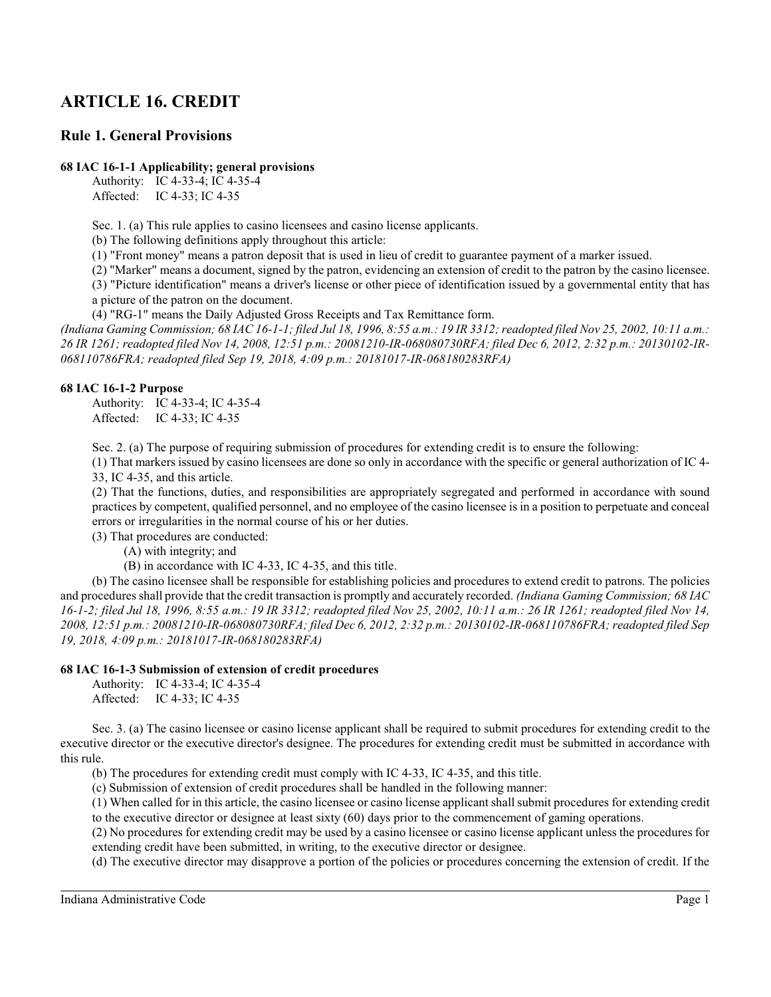# **ARTICLE 16. CREDIT**

# **Rule 1. General Provisions**

## **68 IAC 16-1-1 Applicability; general provisions**

Authority: IC 4-33-4; IC 4-35-4 Affected: IC 4-33; IC 4-35

Sec. 1. (a) This rule applies to casino licensees and casino license applicants.

(b) The following definitions apply throughout this article:

(1) "Front money" means a patron deposit that is used in lieu of credit to guarantee payment of a marker issued.

(2) "Marker" means a document, signed by the patron, evidencing an extension of credit to the patron by the casino licensee.

(3) "Picture identification" means a driver's license or other piece of identification issued by a governmental entity that has a picture of the patron on the document.

(4) "RG-1" means the Daily Adjusted Gross Receipts and Tax Remittance form.

*(Indiana Gaming Commission; 68 IAC 16-1-1; filed Jul 18, 1996, 8:55 a.m.: 19 IR 3312; readopted filed Nov 25, 2002, 10:11 a.m.: 26 IR 1261; readopted filed Nov 14, 2008, 12:51 p.m.: 20081210-IR-068080730RFA; filed Dec 6, 2012, 2:32 p.m.: 20130102-IR-068110786FRA; readopted filed Sep 19, 2018, 4:09 p.m.: 20181017-IR-068180283RFA)*

### **68 IAC 16-1-2 Purpose**

Authority: IC 4-33-4; IC 4-35-4 Affected: IC 4-33; IC 4-35

Sec. 2. (a) The purpose of requiring submission of procedures for extending credit is to ensure the following:

(1) That markers issued by casino licensees are done so only in accordance with the specific or general authorization of IC 4- 33, IC 4-35, and this article.

(2) That the functions, duties, and responsibilities are appropriately segregated and performed in accordance with sound practices by competent, qualified personnel, and no employee of the casino licensee is in a position to perpetuate and conceal errors or irregularities in the normal course of his or her duties.

(3) That procedures are conducted:

(A) with integrity; and

(B) in accordance with IC 4-33, IC 4-35, and this title.

(b) The casino licensee shall be responsible for establishing policies and procedures to extend credit to patrons. The policies and procedures shall provide that the credit transaction is promptly and accurately recorded. *(Indiana Gaming Commission; 68 IAC 16-1-2; filed Jul 18, 1996, 8:55 a.m.: 19 IR 3312; readopted filed Nov 25, 2002, 10:11 a.m.: 26 IR 1261; readopted filed Nov 14, 2008, 12:51 p.m.: 20081210-IR-068080730RFA; filed Dec 6, 2012, 2:32 p.m.: 20130102-IR-068110786FRA; readopted filed Sep 19, 2018, 4:09 p.m.: 20181017-IR-068180283RFA)*

## **68 IAC 16-1-3 Submission of extension of credit procedures**

Authority: IC 4-33-4; IC 4-35-4 Affected: IC 4-33; IC 4-35

Sec. 3. (a) The casino licensee or casino license applicant shall be required to submit procedures for extending credit to the executive director or the executive director's designee. The procedures for extending credit must be submitted in accordance with this rule.

(b) The procedures for extending credit must comply with IC 4-33, IC 4-35, and this title.

(c) Submission of extension of credit procedures shall be handled in the following manner:

(1) When called for in this article, the casino licensee or casino license applicant shall submit procedures for extending credit to the executive director or designee at least sixty (60) days prior to the commencement of gaming operations.

(2) No procedures for extending credit may be used by a casino licensee or casino license applicant unless the procedures for extending credit have been submitted, in writing, to the executive director or designee.

(d) The executive director may disapprove a portion of the policies or procedures concerning the extension of credit. If the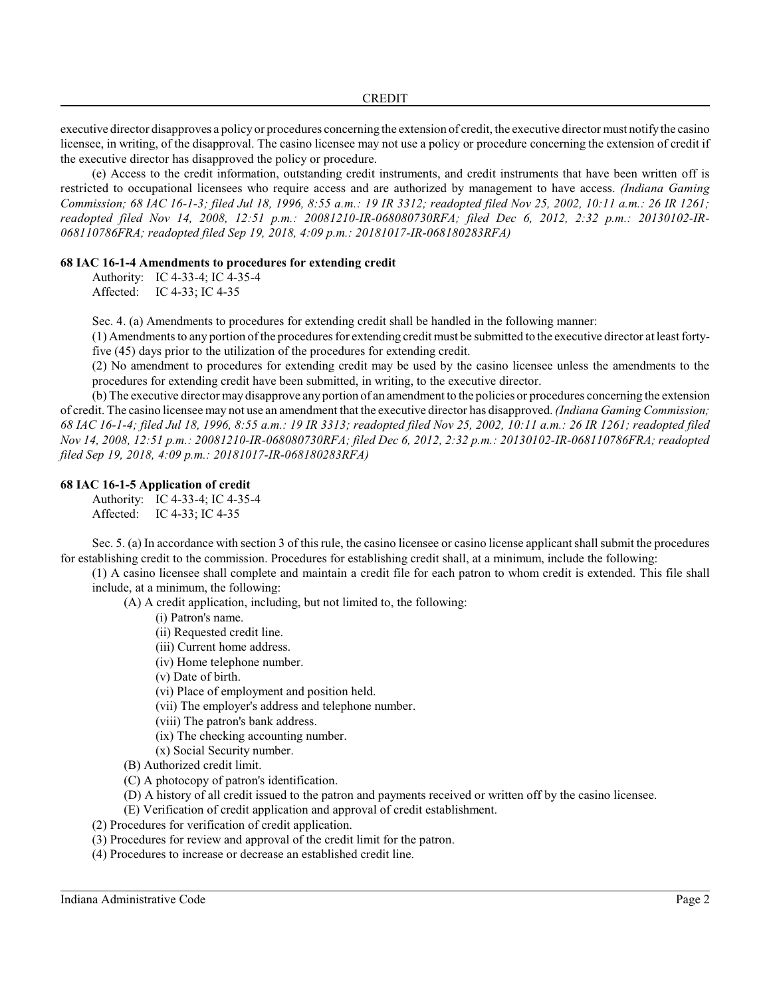executive director disapproves a policy or procedures concerning the extension of credit, the executive director must notifythe casino licensee, in writing, of the disapproval. The casino licensee may not use a policy or procedure concerning the extension of credit if the executive director has disapproved the policy or procedure.

(e) Access to the credit information, outstanding credit instruments, and credit instruments that have been written off is restricted to occupational licensees who require access and are authorized by management to have access. *(Indiana Gaming Commission; 68 IAC 16-1-3; filed Jul 18, 1996, 8:55 a.m.: 19 IR 3312; readopted filed Nov 25, 2002, 10:11 a.m.: 26 IR 1261; readopted filed Nov 14, 2008, 12:51 p.m.: 20081210-IR-068080730RFA; filed Dec 6, 2012, 2:32 p.m.: 20130102-IR-068110786FRA; readopted filed Sep 19, 2018, 4:09 p.m.: 20181017-IR-068180283RFA)*

## **68 IAC 16-1-4 Amendments to procedures for extending credit**

Authority: IC 4-33-4; IC 4-35-4 Affected: IC 4-33; IC 4-35

Sec. 4. (a) Amendments to procedures for extending credit shall be handled in the following manner:

(1) Amendments to any portion of the procedures for extending credit must be submitted to the executive director at least fortyfive (45) days prior to the utilization of the procedures for extending credit.

(2) No amendment to procedures for extending credit may be used by the casino licensee unless the amendments to the procedures for extending credit have been submitted, in writing, to the executive director.

(b) The executive director may disapprove any portion of an amendment to the policies or procedures concerning the extension of credit. The casino licensee may not use an amendment that the executive director has disapproved. *(Indiana Gaming Commission; 68 IAC 16-1-4; filed Jul 18, 1996, 8:55 a.m.: 19 IR 3313; readopted filed Nov 25, 2002, 10:11 a.m.: 26 IR 1261; readopted filed Nov 14, 2008, 12:51 p.m.: 20081210-IR-068080730RFA; filed Dec 6, 2012, 2:32 p.m.: 20130102-IR-068110786FRA; readopted filed Sep 19, 2018, 4:09 p.m.: 20181017-IR-068180283RFA)*

### **68 IAC 16-1-5 Application of credit**

Authority: IC 4-33-4; IC 4-35-4 Affected: IC 4-33; IC 4-35

Sec. 5. (a) In accordance with section 3 of thisrule, the casino licensee or casino license applicant shall submit the procedures for establishing credit to the commission. Procedures for establishing credit shall, at a minimum, include the following:

(1) A casino licensee shall complete and maintain a credit file for each patron to whom credit is extended. This file shall include, at a minimum, the following:

(A) A credit application, including, but not limited to, the following:

- (i) Patron's name.
- (ii) Requested credit line.
- (iii) Current home address.
- (iv) Home telephone number.
- (v) Date of birth.
- (vi) Place of employment and position held.
- (vii) The employer's address and telephone number.
- (viii) The patron's bank address.
- (ix) The checking accounting number.
- (x) Social Security number.
- (B) Authorized credit limit.
- (C) A photocopy of patron's identification.
- (D) A history of all credit issued to the patron and payments received or written off by the casino licensee.
- (E) Verification of credit application and approval of credit establishment.
- (2) Procedures for verification of credit application.
- (3) Procedures for review and approval of the credit limit for the patron.
- (4) Procedures to increase or decrease an established credit line.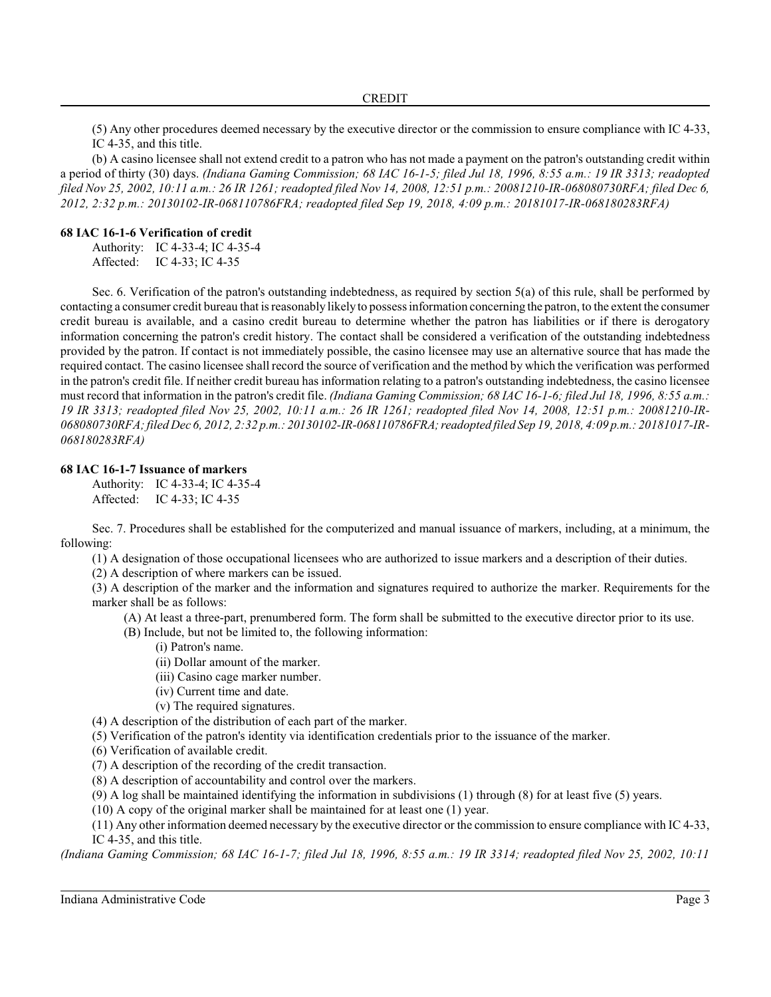(5) Any other procedures deemed necessary by the executive director or the commission to ensure compliance with IC 4-33, IC 4-35, and this title.

(b) A casino licensee shall not extend credit to a patron who has not made a payment on the patron's outstanding credit within a period of thirty (30) days. *(Indiana Gaming Commission; 68 IAC 16-1-5; filed Jul 18, 1996, 8:55 a.m.: 19 IR 3313; readopted filed Nov 25, 2002, 10:11 a.m.: 26 IR 1261; readopted filed Nov 14, 2008, 12:51 p.m.: 20081210-IR-068080730RFA; filed Dec 6, 2012, 2:32 p.m.: 20130102-IR-068110786FRA; readopted filed Sep 19, 2018, 4:09 p.m.: 20181017-IR-068180283RFA)*

#### **68 IAC 16-1-6 Verification of credit**

Authority: IC 4-33-4; IC 4-35-4 Affected: IC 4-33; IC 4-35

Sec. 6. Verification of the patron's outstanding indebtedness, as required by section 5(a) of this rule, shall be performed by contacting a consumer credit bureau that is reasonably likely to possessinformation concerning the patron, to the extent the consumer credit bureau is available, and a casino credit bureau to determine whether the patron has liabilities or if there is derogatory information concerning the patron's credit history. The contact shall be considered a verification of the outstanding indebtedness provided by the patron. If contact is not immediately possible, the casino licensee may use an alternative source that has made the required contact. The casino licensee shall record the source of verification and the method by which the verification was performed in the patron's credit file. If neither credit bureau has information relating to a patron's outstanding indebtedness, the casino licensee must record that information in the patron's credit file. *(Indiana Gaming Commission; 68 IAC 16-1-6; filed Jul 18, 1996, 8:55 a.m.: 19 IR 3313; readopted filed Nov 25, 2002, 10:11 a.m.: 26 IR 1261; readopted filed Nov 14, 2008, 12:51 p.m.: 20081210-IR-068080730RFA; filed Dec 6, 2012, 2:32 p.m.: 20130102-IR-068110786FRA; readopted filed Sep 19, 2018, 4:09 p.m.: 20181017-IR-068180283RFA)*

#### **68 IAC 16-1-7 Issuance of markers**

Authority: IC 4-33-4; IC 4-35-4 Affected: IC 4-33; IC 4-35

Sec. 7. Procedures shall be established for the computerized and manual issuance of markers, including, at a minimum, the following:

(1) A designation of those occupational licensees who are authorized to issue markers and a description of their duties.

(2) A description of where markers can be issued.

(3) A description of the marker and the information and signatures required to authorize the marker. Requirements for the marker shall be as follows:

(A) At least a three-part, prenumbered form. The form shall be submitted to the executive director prior to its use.

(B) Include, but not be limited to, the following information:

- (i) Patron's name.
- (ii) Dollar amount of the marker.
- (iii) Casino cage marker number.
- (iv) Current time and date.
- (v) The required signatures.

(4) A description of the distribution of each part of the marker.

(5) Verification of the patron's identity via identification credentials prior to the issuance of the marker.

(6) Verification of available credit.

(7) A description of the recording of the credit transaction.

(8) A description of accountability and control over the markers.

(9) A log shall be maintained identifying the information in subdivisions (1) through (8) for at least five (5) years.

(10) A copy of the original marker shall be maintained for at least one (1) year.

(11) Any other information deemed necessary by the executive director or the commission to ensure compliance with IC 4-33, IC 4-35, and this title.

*(Indiana Gaming Commission; 68 IAC 16-1-7; filed Jul 18, 1996, 8:55 a.m.: 19 IR 3314; readopted filed Nov 25, 2002, 10:11*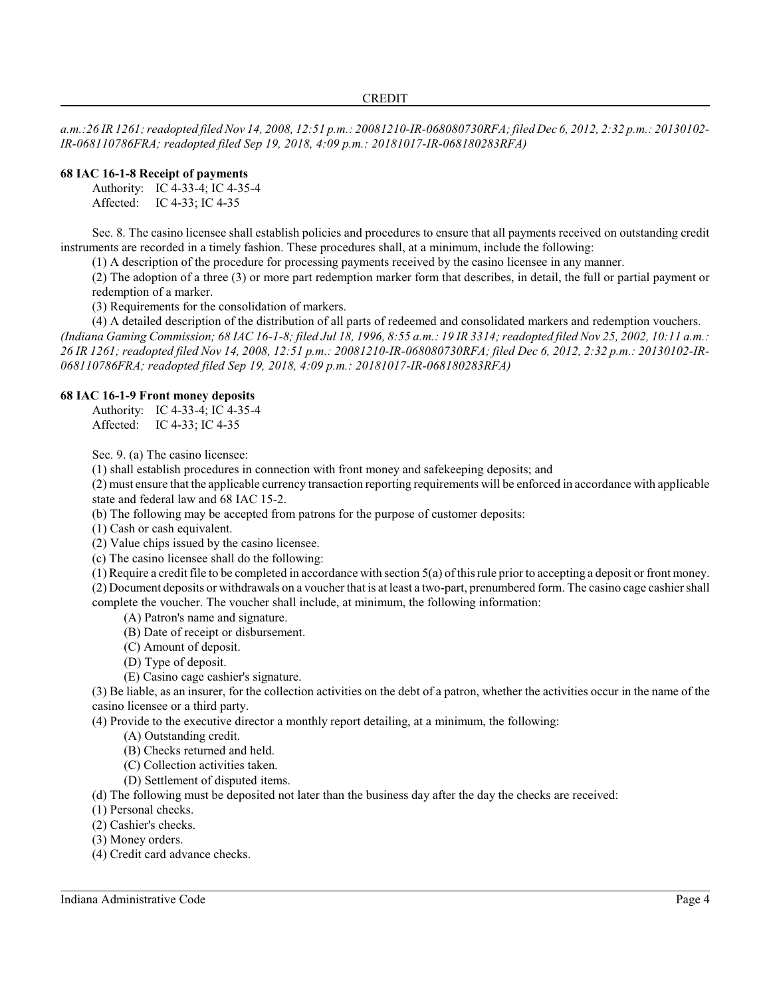*a.m.:26 IR 1261; readopted filed Nov 14, 2008, 12:51 p.m.: 20081210-IR-068080730RFA; filed Dec 6, 2012, 2:32 p.m.: 20130102- IR-068110786FRA; readopted filed Sep 19, 2018, 4:09 p.m.: 20181017-IR-068180283RFA)*

## **68 IAC 16-1-8 Receipt of payments**

Authority: IC 4-33-4; IC 4-35-4 Affected: IC 4-33; IC 4-35

Sec. 8. The casino licensee shall establish policies and procedures to ensure that all payments received on outstanding credit instruments are recorded in a timely fashion. These procedures shall, at a minimum, include the following:

(1) A description of the procedure for processing payments received by the casino licensee in any manner.

(2) The adoption of a three (3) or more part redemption marker form that describes, in detail, the full or partial payment or redemption of a marker.

(3) Requirements for the consolidation of markers.

(4) A detailed description of the distribution of all parts of redeemed and consolidated markers and redemption vouchers.

*(Indiana Gaming Commission; 68 IAC 16-1-8; filed Jul 18, 1996, 8:55 a.m.: 19 IR 3314; readopted filed Nov 25, 2002, 10:11 a.m.: 26 IR 1261; readopted filed Nov 14, 2008, 12:51 p.m.: 20081210-IR-068080730RFA; filed Dec 6, 2012, 2:32 p.m.: 20130102-IR-068110786FRA; readopted filed Sep 19, 2018, 4:09 p.m.: 20181017-IR-068180283RFA)*

### **68 IAC 16-1-9 Front money deposits**

Authority: IC 4-33-4; IC 4-35-4 Affected: IC 4-33; IC 4-35

Sec. 9. (a) The casino licensee:

(1) shall establish procedures in connection with front money and safekeeping deposits; and

(2) must ensure that the applicable currency transaction reporting requirements will be enforced in accordance with applicable state and federal law and 68 IAC 15-2.

(b) The following may be accepted from patrons for the purpose of customer deposits:

(1) Cash or cash equivalent.

(2) Value chips issued by the casino licensee.

(c) The casino licensee shall do the following:

(1) Require a credit file to be completed in accordance with section 5(a) of thisrule prior to accepting a deposit or front money. (2) Document deposits or withdrawals on a voucher that is at least a two-part, prenumbered form. The casino cage cashier shall complete the voucher. The voucher shall include, at minimum, the following information:

(A) Patron's name and signature.

- (B) Date of receipt or disbursement.
- (C) Amount of deposit.
- (D) Type of deposit.
- (E) Casino cage cashier's signature.

(3) Be liable, as an insurer, for the collection activities on the debt of a patron, whether the activities occur in the name of the casino licensee or a third party.

(4) Provide to the executive director a monthly report detailing, at a minimum, the following:

- (A) Outstanding credit.
- (B) Checks returned and held.
- (C) Collection activities taken.
- (D) Settlement of disputed items.

(d) The following must be deposited not later than the business day after the day the checks are received:

(1) Personal checks.

(2) Cashier's checks.

(3) Money orders.

(4) Credit card advance checks.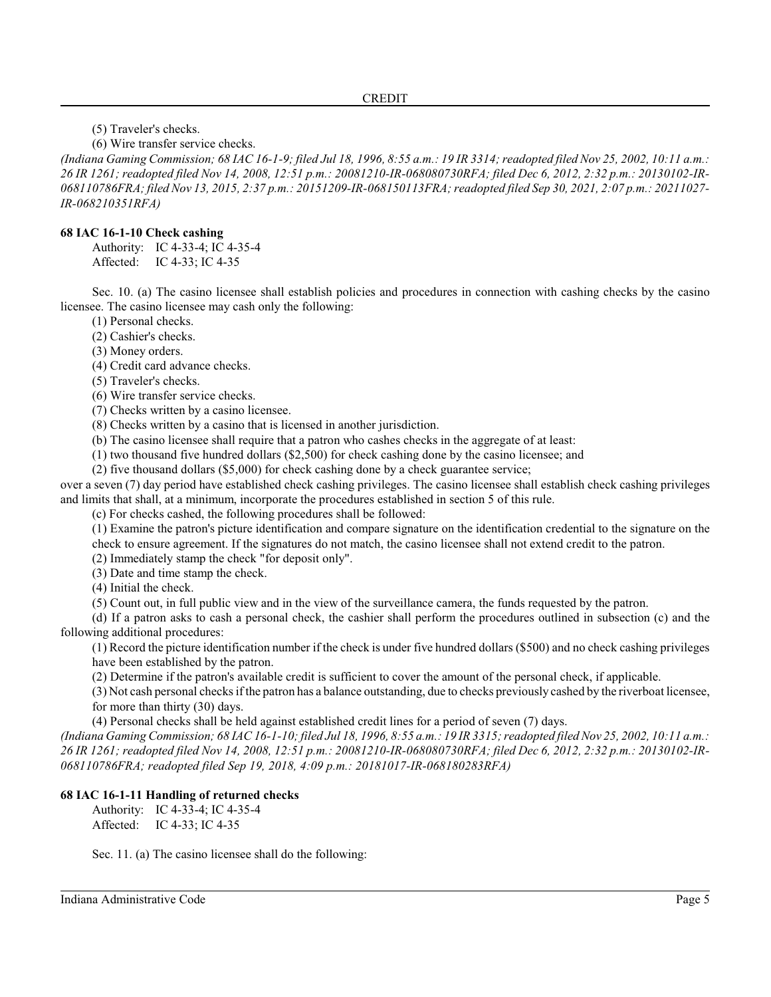(5) Traveler's checks.

(6) Wire transfer service checks.

*(Indiana Gaming Commission; 68 IAC 16-1-9; filed Jul 18, 1996, 8:55 a.m.: 19 IR 3314; readopted filed Nov 25, 2002, 10:11 a.m.: 26 IR 1261; readopted filed Nov 14, 2008, 12:51 p.m.: 20081210-IR-068080730RFA; filed Dec 6, 2012, 2:32 p.m.: 20130102-IR-068110786FRA; filed Nov 13, 2015, 2:37 p.m.: 20151209-IR-068150113FRA; readopted filed Sep 30, 2021, 2:07 p.m.: 20211027- IR-068210351RFA)*

## **68 IAC 16-1-10 Check cashing**

Authority: IC 4-33-4; IC 4-35-4 Affected: IC 4-33; IC 4-35

Sec. 10. (a) The casino licensee shall establish policies and procedures in connection with cashing checks by the casino licensee. The casino licensee may cash only the following:

(1) Personal checks.

(2) Cashier's checks.

(3) Money orders.

(4) Credit card advance checks.

(5) Traveler's checks.

(6) Wire transfer service checks.

(7) Checks written by a casino licensee.

(8) Checks written by a casino that is licensed in another jurisdiction.

(b) The casino licensee shall require that a patron who cashes checks in the aggregate of at least:

(1) two thousand five hundred dollars (\$2,500) for check cashing done by the casino licensee; and

(2) five thousand dollars (\$5,000) for check cashing done by a check guarantee service;

over a seven (7) day period have established check cashing privileges. The casino licensee shall establish check cashing privileges and limits that shall, at a minimum, incorporate the procedures established in section 5 of this rule.

(c) For checks cashed, the following procedures shall be followed:

(1) Examine the patron's picture identification and compare signature on the identification credential to the signature on the check to ensure agreement. If the signatures do not match, the casino licensee shall not extend credit to the patron.

(2) Immediately stamp the check "for deposit only".

(3) Date and time stamp the check.

(4) Initial the check.

(5) Count out, in full public view and in the view of the surveillance camera, the funds requested by the patron.

(d) If a patron asks to cash a personal check, the cashier shall perform the procedures outlined in subsection (c) and the following additional procedures:

(1) Record the picture identification number if the check is under five hundred dollars (\$500) and no check cashing privileges have been established by the patron.

(2) Determine if the patron's available credit is sufficient to cover the amount of the personal check, if applicable.

(3) Not cash personal checksif the patron has a balance outstanding, due to checks previously cashed by the riverboat licensee, for more than thirty (30) days.

(4) Personal checks shall be held against established credit lines for a period of seven (7) days.

*(Indiana Gaming Commission; 68 IAC 16-1-10; filed Jul 18, 1996, 8:55 a.m.: 19 IR 3315; readopted filed Nov 25, 2002, 10:11 a.m.: 26 IR 1261; readopted filed Nov 14, 2008, 12:51 p.m.: 20081210-IR-068080730RFA; filed Dec 6, 2012, 2:32 p.m.: 20130102-IR-068110786FRA; readopted filed Sep 19, 2018, 4:09 p.m.: 20181017-IR-068180283RFA)*

## **68 IAC 16-1-11 Handling of returned checks**

Authority: IC 4-33-4; IC 4-35-4 Affected: IC 4-33; IC 4-35

Sec. 11. (a) The casino licensee shall do the following: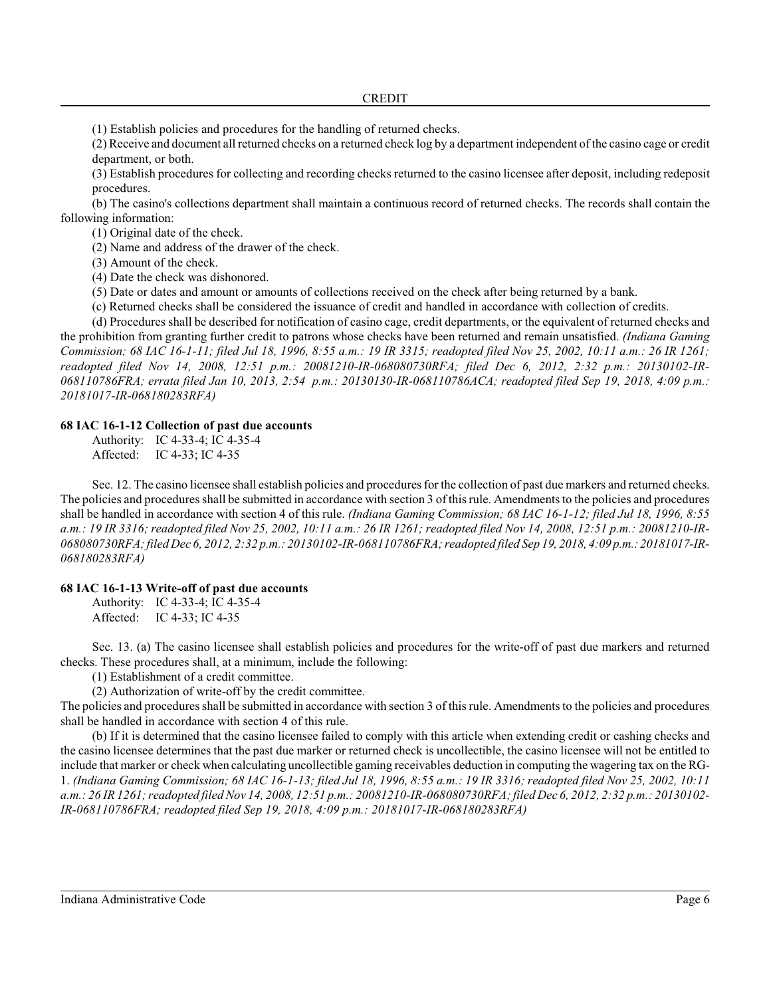(1) Establish policies and procedures for the handling of returned checks.

(2) Receive and document all returned checks on a returned check log by a department independent of the casino cage or credit department, or both.

(3) Establish procedures for collecting and recording checks returned to the casino licensee after deposit, including redeposit procedures.

(b) The casino's collections department shall maintain a continuous record of returned checks. The records shall contain the following information:

(1) Original date of the check.

(2) Name and address of the drawer of the check.

(3) Amount of the check.

(4) Date the check was dishonored.

(5) Date or dates and amount or amounts of collections received on the check after being returned by a bank.

(c) Returned checks shall be considered the issuance of credit and handled in accordance with collection of credits.

(d) Procedures shall be described for notification of casino cage, credit departments, or the equivalent of returned checks and the prohibition from granting further credit to patrons whose checks have been returned and remain unsatisfied. *(Indiana Gaming Commission; 68 IAC 16-1-11; filed Jul 18, 1996, 8:55 a.m.: 19 IR 3315; readopted filed Nov 25, 2002, 10:11 a.m.: 26 IR 1261; readopted filed Nov 14, 2008, 12:51 p.m.: 20081210-IR-068080730RFA; filed Dec 6, 2012, 2:32 p.m.: 20130102-IR-068110786FRA; errata filed Jan 10, 2013, 2:54 p.m.: 20130130-IR-068110786ACA; readopted filed Sep 19, 2018, 4:09 p.m.: 20181017-IR-068180283RFA)*

#### **68 IAC 16-1-12 Collection of past due accounts**

Authority: IC 4-33-4; IC 4-35-4 Affected: IC 4-33; IC 4-35

Sec. 12. The casino licensee shall establish policies and procedures for the collection of past due markers and returned checks. The policies and procedures shall be submitted in accordance with section 3 of thisrule. Amendments to the policies and procedures shall be handled in accordance with section 4 of this rule. *(Indiana Gaming Commission; 68 IAC 16-1-12; filed Jul 18, 1996, 8:55 a.m.: 19 IR 3316; readopted filed Nov 25, 2002, 10:11 a.m.: 26 IR 1261; readopted filed Nov 14, 2008, 12:51 p.m.: 20081210-IR-068080730RFA; filed Dec 6, 2012, 2:32 p.m.: 20130102-IR-068110786FRA; readopted filed Sep 19, 2018, 4:09 p.m.: 20181017-IR-068180283RFA)*

#### **68 IAC 16-1-13 Write-off of past due accounts**

Authority: IC 4-33-4; IC 4-35-4 Affected: IC 4-33; IC 4-35

Sec. 13. (a) The casino licensee shall establish policies and procedures for the write-off of past due markers and returned checks. These procedures shall, at a minimum, include the following:

(1) Establishment of a credit committee.

(2) Authorization of write-off by the credit committee.

The policies and procedures shall be submitted in accordance with section 3 of thisrule. Amendments to the policies and procedures shall be handled in accordance with section 4 of this rule.

(b) If it is determined that the casino licensee failed to comply with this article when extending credit or cashing checks and the casino licensee determines that the past due marker or returned check is uncollectible, the casino licensee will not be entitled to include that marker or check when calculating uncollectible gaming receivables deduction in computing the wagering tax on the RG-1. *(Indiana Gaming Commission; 68 IAC 16-1-13; filed Jul 18, 1996, 8:55 a.m.: 19 IR 3316; readopted filed Nov 25, 2002, 10:11 a.m.: 26 IR 1261; readopted filed Nov 14, 2008, 12:51 p.m.: 20081210-IR-068080730RFA; filed Dec 6, 2012, 2:32 p.m.: 20130102- IR-068110786FRA; readopted filed Sep 19, 2018, 4:09 p.m.: 20181017-IR-068180283RFA)*